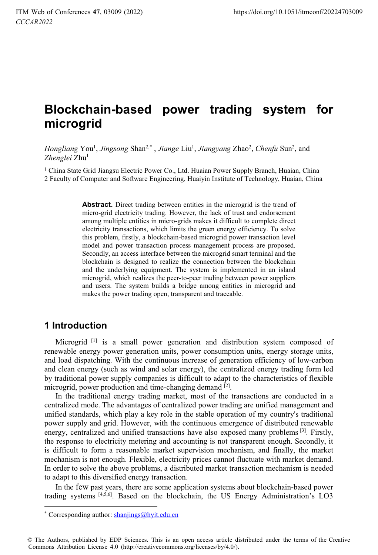# **Blockchain-based power trading system for microgrid**

Hongliang You<sup>1</sup>, *Jingsong* Shan<sup>2,\*</sup>, *Jiange* Liu<sup>1</sup>, *Jiangyang Zhao<sup>2</sup>, Chenfu* Sun<sup>2</sup>, and *Zhenglei* Zhu1

1 China State Grid Jiangsu Electric Power Co., Ltd. Huaian Power Supply Branch, Huaian, China 2 Faculty of Computer and Software Engineering, Huaiyin Institute of Technology, Huaian, China

> Abstract. Direct trading between entities in the microgrid is the trend of micro-grid electricity trading. However, the lack of trust and endorsement among multiple entities in micro-grids makes it difficult to complete direct electricity transactions, which limits the green energy efficiency. To solve this problem, firstly, a blockchain-based microgrid power transaction level model and power transaction process management process are proposed. Secondly, an access interface between the microgrid smart terminal and the blockchain is designed to realize the connection between the blockchain and the underlying equipment. The system is implemented in an island microgrid, which realizes the peer-to-peer trading between power suppliers and users. The system builds a bridge among entities in microgrid and makes the power trading open, transparent and traceable.

#### **1 Introduction**

 $\overline{a}$ 

Microgrid <sup>[1]</sup> is a small power generation and distribution system composed of renewable energy power generation units, power consumption units, energy storage units, and load dispatching. With the continuous increase of generation efficiency of low-carbon and clean energy (such as wind and solar energy), the centralized energy trading form led by traditional power supply companies is difficult to adapt to the characteristics of flexible microgrid, power production and time-changing demand [2].

In the traditional energy trading market, most of the transactions are conducted in a centralized mode. The advantages of centralized power trading are unified management and unified standards, which play a key role in the stable operation of my country's traditional power supply and grid. However, with the continuous emergence of distributed renewable energy, centralized and unified transactions have also exposed many problems  $[3]$ . Firstly, the response to electricity metering and accounting is not transparent enough. Secondly, it is difficult to form a reasonable market supervision mechanism, and finally, the market mechanism is not enough. Flexible, electricity prices cannot fluctuate with market demand. In order to solve the above problems, a distributed market transaction mechanism is needed to adapt to this diversified energy transaction.

In the few past years, there are some application systems about blockchain-based power trading systems [4,5,6]. Based on the blockchain, the US Energy Administration's LO3

<sup>\*</sup> Corresponding author: shanjings@hyit.edu.cn

<sup>©</sup> The Authors, published by EDP Sciences. This is an open access article distributed under the terms of the Creative Commons Attribution License 4.0 (http://creativecommons.org/licenses/by/4.0/).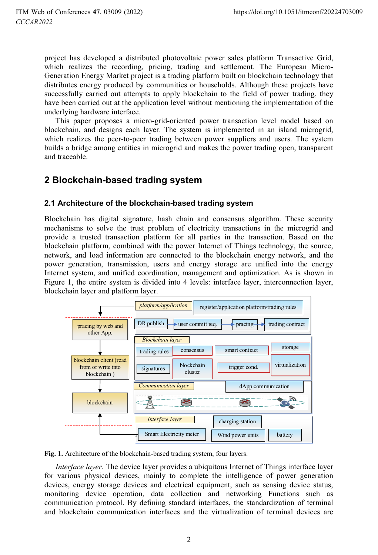project has developed a distributed photovoltaic power sales platform Transactive Grid, which realizes the recording, pricing, trading and settlement. The European Micro-Generation Energy Market project is a trading platform built on blockchain technology that distributes energy produced by communities or households. Although these projects have successfully carried out attempts to apply blockchain to the field of power trading, they have been carried out at the application level without mentioning the implementation of the underlying hardware interface.

This paper proposes a micro-grid-oriented power transaction level model based on blockchain, and designs each layer. The system is implemented in an island microgrid, which realizes the peer-to-peer trading between power suppliers and users. The system builds a bridge among entities in microgrid and makes the power trading open, transparent and traceable.

### **2 Blockchain-based trading system**

#### **2.1 Architecture of the blockchain-based trading system**

Blockchain has digital signature, hash chain and consensus algorithm. These security mechanisms to solve the trust problem of electricity transactions in the microgrid and provide a trusted transaction platform for all parties in the transaction. Based on the blockchain platform, combined with the power Internet of Things technology, the source, network, and load information are connected to the blockchain energy network, and the power generation, transmission, users and energy storage are unified into the energy Internet system, and unified coordination, management and optimization. As is shown in Figure 1, the entire system is divided into 4 levels: interface layer, interconnection layer, blockchain layer and platform layer.



**Fig. 1.** Architecture of the blockchain-based trading system, four layers.

*Interface layer.* The device layer provides a ubiquitous Internet of Things interface layer for various physical devices, mainly to complete the intelligence of power generation devices, energy storage devices and electrical equipment, such as sensing device status, monitoring device operation, data collection and networking Functions such as communication protocol. By defining standard interfaces, the standardization of terminal and blockchain communication interfaces and the virtualization of terminal devices are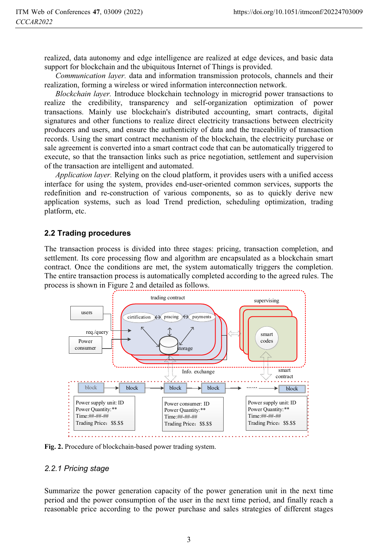realized, data autonomy and edge intelligence are realized at edge devices, and basic data support for blockchain and the ubiquitous Internet of Things is provided.

*Communication layer.* data and information transmission protocols, channels and their realization, forming a wireless or wired information interconnection network.

*Blockchain layer.* Introduce blockchain technology in microgrid power transactions to realize the credibility, transparency and self-organization optimization of power transactions. Mainly use blockchain's distributed accounting, smart contracts, digital signatures and other functions to realize direct electricity transactions between electricity producers and users, and ensure the authenticity of data and the traceability of transaction records. Using the smart contract mechanism of the blockchain, the electricity purchase or sale agreement is converted into a smart contract code that can be automatically triggered to execute, so that the transaction links such as price negotiation, settlement and supervision of the transaction are intelligent and automated.

*Application layer.* Relying on the cloud platform, it provides users with a unified access interface for using the system, provides end-user-oriented common services, supports the redefinition and re-construction of various components, so as to quickly derive new application systems, such as load Trend prediction, scheduling optimization, trading platform, etc.

#### **2.2 Trading procedures**

The transaction process is divided into three stages: pricing, transaction completion, and settlement. Its core processing flow and algorithm are encapsulated as a blockchain smart contract. Once the conditions are met, the system automatically triggers the completion. The entire transaction process is automatically completed according to the agreed rules. The process is shown in Figure 2 and detailed as follows.



**Fig. 2.** Procedure of blockchain-based power trading system.

#### *2.2.1 Pricing stage*

Summarize the power generation capacity of the power generation unit in the next time period and the power consumption of the user in the next time period, and finally reach a reasonable price according to the power purchase and sales strategies of different stages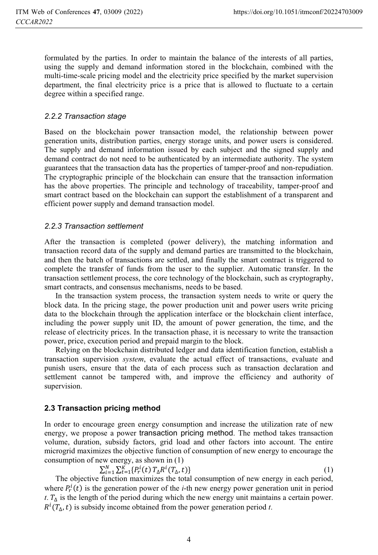formulated by the parties. In order to maintain the balance of the interests of all parties, using the supply and demand information stored in the blockchain, combined with the multi-time-scale pricing model and the electricity price specified by the market supervision department, the final electricity price is a price that is allowed to fluctuate to a certain degree within a specified range.

# *2.2.2 Transaction stage*

Based on the blockchain power transaction model, the relationship between power generation units, distribution parties, energy storage units, and power users is considered. The supply and demand information issued by each subject and the signed supply and demand contract do not need to be authenticated by an intermediate authority. The system guarantees that the transaction data has the properties of tamper-proof and non-repudiation. The cryptographic principle of the blockchain can ensure that the transaction information has the above properties. The principle and technology of traceability, tamper-proof and smart contract based on the blockchain can support the establishment of a transparent and efficient power supply and demand transaction model.

#### 2.2.3 Transaction settlement

After the transaction is completed (power delivery), the matching information and transaction record data of the supply and demand parties are transmitted to the blockchain, and then the batch of transactions are settled, and finally the smart contract is triggered to complete the transfer of funds from the user to the supplier. Automatic transfer. In the transaction settlement process, the core technology of the blockchain, such as cryptography, smart contracts, and consensus mechanisms, needs to be based.

In the transaction system process, the transaction system needs to write or query the block data. In the pricing stage, the power production unit and power users write pricing data to the blockchain through the application interface or the blockchain client interface, including the power supply unit ID, the amount of power generation, the time, and the release of electricity prices. In the transaction phase, it is necessary to write the transaction power, price, execution period and prepaid margin to the block.

Relying on the blockchain distributed ledger and data identification function, establish a transaction supervision *system*, evaluate the actual effect of transactions, evaluate and punish users, ensure that the data of each process such as transaction declaration and settlement cannot be tampered with, and improve the efficiency and authority of supervision.

#### **2.3 Transaction pricing method**

 $\Sigma$ 

In order to encourage green energy consumption and increase the utilization rate of new energy, we propose a power transaction pricing method. The method takes transaction volume, duration, subsidy factors, grid load and other factors into account. The entire microgrid maximizes the objective function of consumption of new energy to encourage the consumption of new energy, as shown in (1)

$$
{}_{i=1}^{N} \sum_{t=1}^{K} \{ P_{r}^{i}(t) T_{\Delta} R^{i}(T_{\Delta}, t) \} \tag{1}
$$

The objective function maximizes the total consumption of new energy in each period, where  $P_r^i(t)$  is the generation power of the *i*-th new energy power generation unit in period *t*.  $T_A$  is the length of the period during which the new energy unit maintains a certain power.  $R^{i}(T_{\Delta}, t)$  is subsidy income obtained from the power generation period *t*.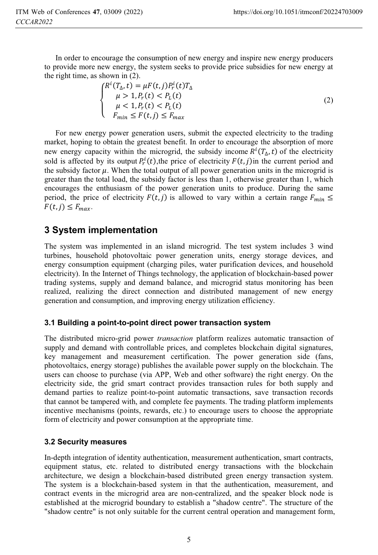In order to encourage the consumption of new energy and inspire new energy producers to provide more new energy, the system seeks to provide price subsidies for new energy at the right time, as shown in (2).

$$
\begin{cases}\nR^i(T_\Delta, t) = \mu F(t, j) P_r^i(t) T_\Delta \\
\mu > 1, P_r(t) < P_L(t) \\
\mu < 1, P_r(t) < P_L(t) \\
F_{\min} \le F(t, j) \le F_{\max}\n\end{cases} \tag{2}
$$

For new energy power generation users, submit the expected electricity to the trading market, hoping to obtain the greatest benefit. In order to encourage the absorption of more new energy capacity within the microgrid, the subsidy income  $R^{i}(T_{\Delta}, t)$  of the electricity sold is affected by its output  $P_r^i(t)$ ,the price of electricity  $F(t, j)$  in the current period and the subsidy factor  $\mu$ . When the total output of all power generation units in the microgrid is greater than the total load, the subsidy factor is less than 1, otherwise greater than 1, which encourages the enthusiasm of the power generation units to produce. During the same period, the price of electricity  $F(t, j)$  is allowed to vary within a certain range  $F_{min} \leq$  $F(t, j) \leq F_{max}$ .

## **3 System implementation**

The system was implemented in an island microgrid. The test system includes 3 wind turbines, household photovoltaic power generation units, energy storage devices, and energy consumption equipment (charging piles, water purification devices, and household electricity). In the Internet of Things technology, the application of blockchain-based power trading systems, supply and demand balance, and microgrid status monitoring has been realized, realizing the direct connection and distributed management of new energy generation and consumption, and improving energy utilization efficiency.

#### **3.1 Building a point-to-point direct power transaction system**

The distributed micro-grid power *transaction* platform realizes automatic transaction of supply and demand with controllable prices, and completes blockchain digital signatures, key management and measurement certification. The power generation side (fans, photovoltaics, energy storage) publishes the available power supply on the blockchain. The users can choose to purchase (via APP, Web and other software) the right energy. On the electricity side, the grid smart contract provides transaction rules for both supply and demand parties to realize point-to-point automatic transactions, save transaction records that cannot be tampered with, and complete fee payments. The trading platform implements incentive mechanisms (points, rewards, etc.) to encourage users to choose the appropriate form of electricity and power consumption at the appropriate time.

#### **3.2 Security measures**

In-depth integration of identity authentication, measurement authentication, smart contracts, equipment status, etc. related to distributed energy transactions with the blockchain architecture, we design a blockchain-based distributed green energy transaction system. The system is a blockchain-based system in that the authentication, measurement, and contract events in the microgrid area are non-centralized, and the speaker block node is established at the microgrid boundary to establish a "shadow centre". The structure of the "shadow centre" is not only suitable for the current central operation and management form,